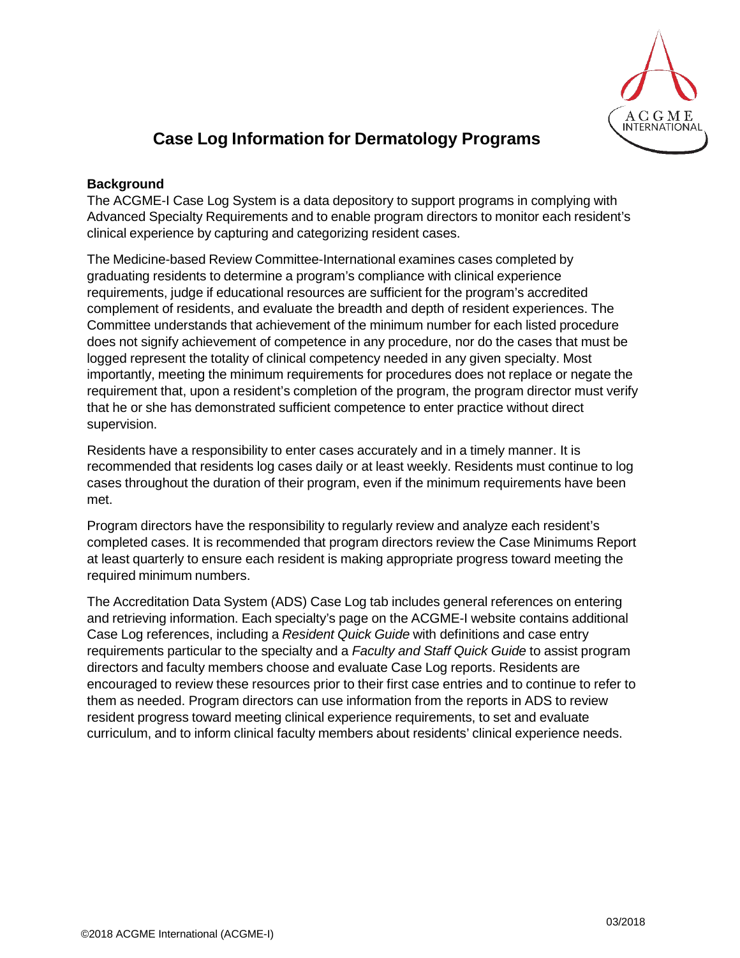

# **Case Log Information for Dermatology Programs**

### **Background**

The ACGME-I Case Log System is a data depository to support programs in complying with Advanced Specialty Requirements and to enable program directors to monitor each resident's clinical experience by capturing and categorizing resident cases.

The Medicine-based Review Committee-International examines cases completed by graduating residents to determine a program's compliance with clinical experience requirements, judge if educational resources are sufficient for the program's accredited complement of residents, and evaluate the breadth and depth of resident experiences. The Committee understands that achievement of the minimum number for each listed procedure does not signify achievement of competence in any procedure, nor do the cases that must be logged represent the totality of clinical competency needed in any given specialty. Most importantly, meeting the minimum requirements for procedures does not replace or negate the requirement that, upon a resident's completion of the program, the program director must verify that he or she has demonstrated sufficient competence to enter practice without direct supervision.

Residents have a responsibility to enter cases accurately and in a timely manner. It is recommended that residents log cases daily or at least weekly. Residents must continue to log cases throughout the duration of their program, even if the minimum requirements have been met.

Program directors have the responsibility to regularly review and analyze each resident's completed cases. It is recommended that program directors review the Case Minimums Report at least quarterly to ensure each resident is making appropriate progress toward meeting the required minimum numbers.

The Accreditation Data System (ADS) Case Log tab includes general references on entering and retrieving information. Each specialty's page on the ACGME-I website contains additional Case Log references, including a *Resident Quick Guide* with definitions and case entry requirements particular to the specialty and a *Faculty and Staff Quick Guide* to assist program directors and faculty members choose and evaluate Case Log reports. Residents are encouraged to review these resources prior to their first case entries and to continue to refer to them as needed. Program directors can use information from the reports in ADS to review resident progress toward meeting clinical experience requirements, to set and evaluate curriculum, and to inform clinical faculty members about residents' clinical experience needs.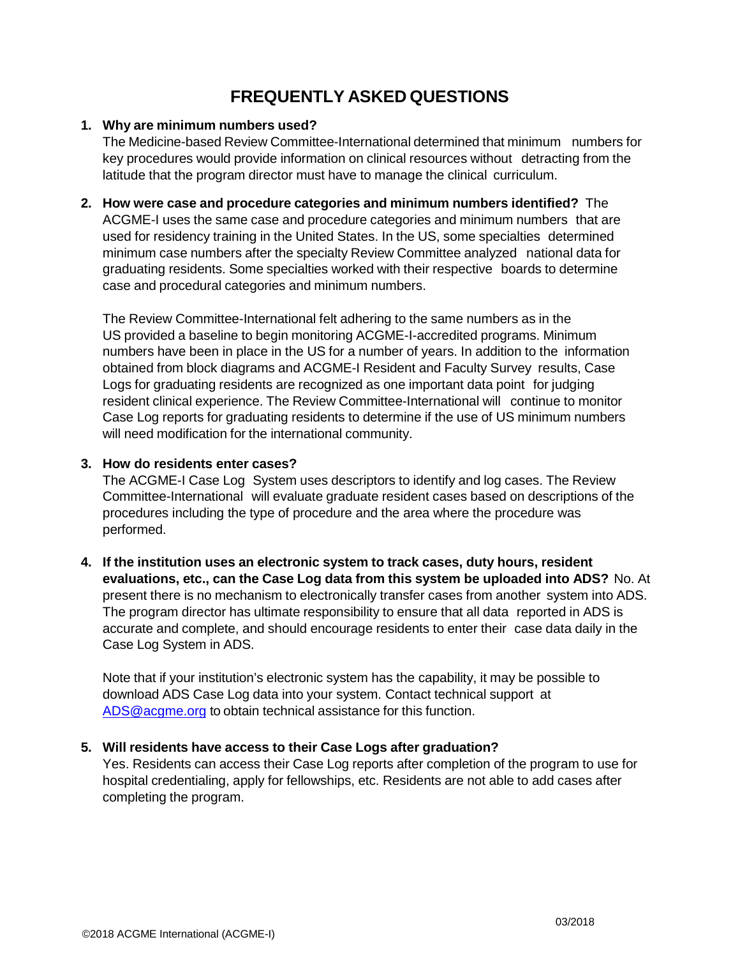## **FREQUENTLY ASKED QUESTIONS**

## **1. Why are minimum numbers used?**

The Medicine-based Review Committee-International determined that minimum numbers for key procedures would provide information on clinical resources without detracting from the latitude that the program director must have to manage the clinical curriculum.

**2. How were case and procedure categories and minimum numbers identified?** The ACGME-I uses the same case and procedure categories and minimum numbers that are used for residency training in the United States. In the US, some specialties determined minimum case numbers after the specialty Review Committee analyzed national data for graduating residents. Some specialties worked with their respective boards to determine case and procedural categories and minimum numbers.

The Review Committee-International felt adhering to the same numbers as in the US provided a baseline to begin monitoring ACGME-I-accredited programs. Minimum numbers have been in place in the US for a number of years. In addition to the information obtained from block diagrams and ACGME-I Resident and Faculty Survey results, Case Logs for graduating residents are recognized as one important data point for judging resident clinical experience. The Review Committee-International will continue to monitor Case Log reports for graduating residents to determine if the use of US minimum numbers will need modification for the international community.

## **3. How do residents enter cases?**

The ACGME-I Case Log System uses descriptors to identify and log cases. The Review Committee-International will evaluate graduate resident cases based on descriptions of the procedures including the type of procedure and the area where the procedure was performed.

**4. If the institution uses an electronic system to track cases, duty hours, resident evaluations, etc., can the Case Log data from this system be uploaded into ADS?** No. At present there is no mechanism to electronically transfer cases from another system into ADS. The program director has ultimate responsibility to ensure that all data reported in ADS is accurate and complete, and should encourage residents to enter their case data daily in the Case Log System in ADS.

Note that if your institution's electronic system has the capability, it may be possible to download ADS Case Log data into your system. Contact technical support at [ADS@acgme.org](mailto:ADS@acgme.org) to obtain technical assistance for this function.

## **5. Will residents have access to their Case Logs after graduation?**

Yes. Residents can access their Case Log reports after completion of the program to use for hospital credentialing, apply for fellowships, etc. Residents are not able to add cases after completing the program.